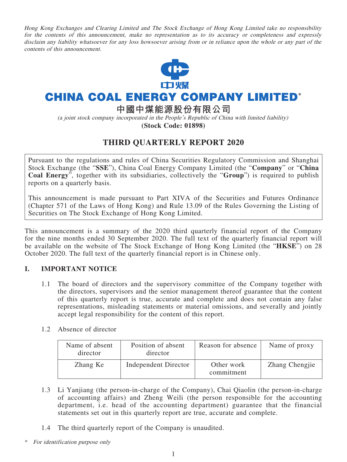Hong Kong Exchanges and Clearing Limited and The Stock Exchange of Hong Kong Limited take no responsibility for the contents of this announcement, make no representation as to its accuracy or completeness and expressly disclaim any liability whatsoever for any loss howsoever arising from or in reliance upon the whole or any part of the contents of this announcement.



# **CHINA COAL ENERGY COMPANY LIMITED\***

**中國中煤能源股份有限公司**

(a joint stock company incorporated in the People's Republic of China with limited liability) **(Stock Code: 01898)**

## **THIRD QUARTERLY REPORT 2020**

Pursuant to the regulations and rules of China Securities Regulatory Commission and Shanghai Stock Exchange (the "**SSE**"), China Coal Energy Company Limited (the "**Company**" or "**China Coal Energy**", together with its subsidiaries, collectively the "**Group**") is required to publish reports on a quarterly basis.

This announcement is made pursuant to Part XIVA of the Securities and Futures Ordinance (Chapter 571 of the Laws of Hong Kong) and Rule 13.09 of the Rules Governing the Listing of Securities on The Stock Exchange of Hong Kong Limited.

This announcement is a summary of the 2020 third quarterly financial report of the Company for the nine months ended 30 September 2020. The full text of the quarterly financial report will be available on the website of The Stock Exchange of Hong Kong Limited (the "**HKSE**") on 28 October 2020. The full text of the quarterly financial report is in Chinese only.

### **I. IMPORTANT NOTICE**

- 1.1 The board of directors and the supervisory committee of the Company together with the directors, supervisors and the senior management thereof guarantee that the content of this quarterly report is true, accurate and complete and does not contain any false representations, misleading statements or material omissions, and severally and jointly accept legal responsibility for the content of this report.
- 1.2 Absence of director

| Name of absent<br>director | Position of absent<br>director | Reason for absence       | Name of proxy  |
|----------------------------|--------------------------------|--------------------------|----------------|
| Zhang Ke                   | <b>Independent Director</b>    | Other work<br>commitment | Zhang Chengjie |

- 1.3 Li Yanjiang (the person-in-charge of the Company), Chai Qiaolin (the person-in-charge of accounting affairs) and Zheng Weili (the person responsible for the accounting department, i.e. head of the accounting department) guarantee that the financial statements set out in this quarterly report are true, accurate and complete.
- 1.4 The third quarterly report of the Company is unaudited.
- For identification purpose only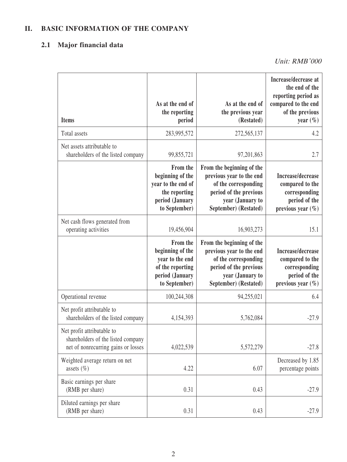## **II. BASIC INFORMATION OF THE COMPANY**

## **2.1 Major financial data**

| <b>Items</b>                                                                                            | As at the end of<br>the reporting<br>period                                                             | As at the end of<br>the previous year<br>(Restated)                                                                                                  | Increase/decrease at<br>the end of the<br>reporting period as<br>compared to the end<br>of the previous<br>year $(\% )$ |
|---------------------------------------------------------------------------------------------------------|---------------------------------------------------------------------------------------------------------|------------------------------------------------------------------------------------------------------------------------------------------------------|-------------------------------------------------------------------------------------------------------------------------|
| Total assets                                                                                            | 283,995,572                                                                                             | 272,565,137                                                                                                                                          | 4.2                                                                                                                     |
| Net assets attributable to<br>shareholders of the listed company                                        | 99,855,721                                                                                              | 97,201,863                                                                                                                                           | 2.7                                                                                                                     |
|                                                                                                         | From the<br>beginning of the<br>year to the end of<br>the reporting<br>period (January<br>to September) | From the beginning of the<br>previous year to the end<br>of the corresponding<br>period of the previous<br>year (January to<br>September) (Restated) | Increase/decrease<br>compared to the<br>corresponding<br>period of the<br>previous year $(\% )$                         |
| Net cash flows generated from<br>operating activities                                                   | 19,456,904                                                                                              | 16,903,273                                                                                                                                           | 15.1                                                                                                                    |
|                                                                                                         | From the<br>beginning of the<br>year to the end<br>of the reporting<br>period (January<br>to September) | From the beginning of the<br>previous year to the end<br>of the corresponding<br>period of the previous<br>year (January to<br>September) (Restated) | Increase/decrease<br>compared to the<br>corresponding<br>period of the<br>previous year $(\% )$                         |
| Operational revenue                                                                                     | 100,244,308                                                                                             | 94,255,021                                                                                                                                           | 6.4                                                                                                                     |
| Net profit attributable to<br>shareholders of the listed company                                        | 4,154,393                                                                                               | 5,762,084                                                                                                                                            | $-27.9$                                                                                                                 |
| Net profit attributable to<br>shareholders of the listed company<br>net of nonrecurring gains or losses | 4,022,539                                                                                               | 5,572,279                                                                                                                                            | $-27.8$                                                                                                                 |
| Weighted average return on net<br>assets $(\% )$                                                        | 4.22                                                                                                    | 6.07                                                                                                                                                 | Decreased by 1.85<br>percentage points                                                                                  |
| Basic earnings per share<br>(RMB per share)                                                             | 0.31                                                                                                    | 0.43                                                                                                                                                 | $-27.9$                                                                                                                 |
| Diluted earnings per share<br>(RMB per share)                                                           | 0.31                                                                                                    | 0.43                                                                                                                                                 | $-27.9$                                                                                                                 |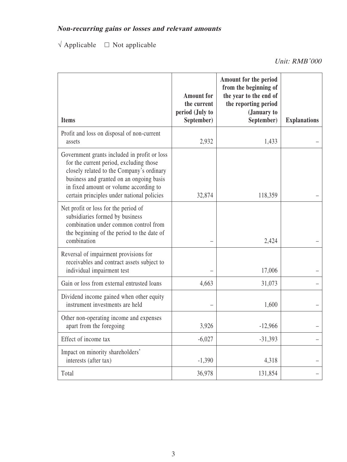$\sqrt{\text{Applied}} = \square$  Not applicable

| <b>Items</b>                                                                                                                                                                                                                                                             | <b>Amount</b> for<br>the current<br>period (July to<br>September) | Amount for the period<br>from the beginning of<br>the year to the end of<br>the reporting period<br>(January to<br>September) | <b>Explanations</b> |
|--------------------------------------------------------------------------------------------------------------------------------------------------------------------------------------------------------------------------------------------------------------------------|-------------------------------------------------------------------|-------------------------------------------------------------------------------------------------------------------------------|---------------------|
| Profit and loss on disposal of non-current<br>assets                                                                                                                                                                                                                     | 2,932                                                             | 1,433                                                                                                                         |                     |
| Government grants included in profit or loss<br>for the current period, excluding those<br>closely related to the Company's ordinary<br>business and granted on an ongoing basis<br>in fixed amount or volume according to<br>certain principles under national policies | 32,874                                                            | 118,359                                                                                                                       |                     |
| Net profit or loss for the period of<br>subsidiaries formed by business<br>combination under common control from<br>the beginning of the period to the date of<br>combination                                                                                            |                                                                   | 2,424                                                                                                                         |                     |
| Reversal of impairment provisions for<br>receivables and contract assets subject to<br>individual impairment test                                                                                                                                                        |                                                                   | 17,006                                                                                                                        |                     |
| Gain or loss from external entrusted loans                                                                                                                                                                                                                               | 4,663                                                             | 31,073                                                                                                                        |                     |
| Dividend income gained when other equity<br>instrument investments are held                                                                                                                                                                                              |                                                                   | 1,600                                                                                                                         |                     |
| Other non-operating income and expenses<br>apart from the foregoing                                                                                                                                                                                                      | 3,926                                                             | $-12,966$                                                                                                                     |                     |
| Effect of income tax                                                                                                                                                                                                                                                     | $-6,027$                                                          | $-31,393$                                                                                                                     |                     |
| Impact on minority shareholders'<br>interests (after tax)                                                                                                                                                                                                                | $-1,390$                                                          | 4,318                                                                                                                         |                     |
| Total                                                                                                                                                                                                                                                                    | 36,978                                                            | 131,854                                                                                                                       |                     |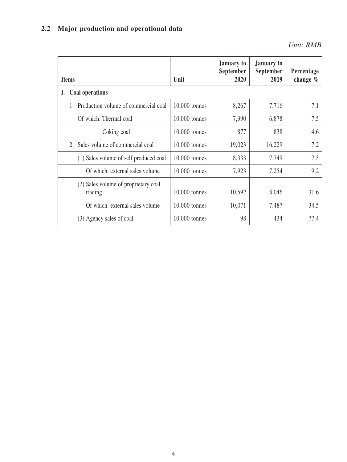# **2.2 Major production and operational data**

| <b>Items</b>                                    | Unit            | <b>January to</b><br><b>September</b><br>2020 | <b>January to</b><br><b>September</b><br>2019 | Percentage<br>change $%$ |
|-------------------------------------------------|-----------------|-----------------------------------------------|-----------------------------------------------|--------------------------|
| <b>Coal operations</b><br>Ι.                    |                 |                                               |                                               |                          |
| Production volume of commercial coal            | $10,000$ tonnes | 8,267                                         | 7,716                                         | 7.1                      |
| Of which: Thermal coal                          | 10,000 tonnes   | 7,390                                         | 6,878                                         | 7.5                      |
| Coking coal                                     | $10,000$ tonnes | 877                                           | 838                                           | 4.6                      |
| 2. Sales volume of commercial coal              | 10,000 tonnes   | 19,023                                        | 16,229                                        | 17.2                     |
| (1) Sales volume of self produced coal          | 10,000 tonnes   | 8,333                                         | 7,749                                         | 7.5                      |
| Of which: external sales volume                 | $10,000$ tonnes | 7,923                                         | 7,254                                         | 9.2                      |
| (2) Sales volume of proprietary coal<br>trading | $10,000$ tonnes | 10,592                                        | 8,046                                         | 31.6                     |
| Of which: external sales volume                 | 10,000 tonnes   | 10,071                                        | 7,487                                         | 34.5                     |
| (3) Agency sales of coal                        | 10,000 tonnes   | 98                                            | 434                                           | $-77.4$                  |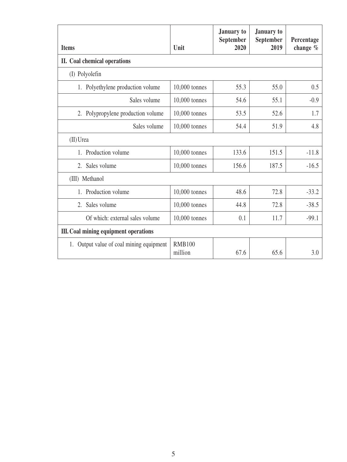| <b>Items</b>                             | Unit                     | <b>January</b> to<br>September<br>2020 | <b>January</b> to<br>September<br>2019 | Percentage<br>change $%$ |
|------------------------------------------|--------------------------|----------------------------------------|----------------------------------------|--------------------------|
| II. Coal chemical operations             |                          |                                        |                                        |                          |
| (I) Polyolefin                           |                          |                                        |                                        |                          |
| 1. Polyethylene production volume        | 10,000 tonnes            | 55.3                                   | 55.0                                   | 0.5                      |
| Sales volume                             | 10,000 tonnes            | 54.6                                   | 55.1                                   | $-0.9$                   |
| 2. Polypropylene production volume       | 10,000 tonnes            | 53.5                                   | 52.6                                   | 1.7                      |
| Sales volume                             | 10,000 tonnes            | 54.4                                   | 51.9                                   | 4.8                      |
| (II) Urea                                |                          |                                        |                                        |                          |
| 1. Production volume                     | 10,000 tonnes            | 133.6                                  | 151.5                                  | $-11.8$                  |
| 2. Sales volume                          | 10,000 tonnes            | 156.6                                  | 187.5                                  | $-16.5$                  |
| (III) Methanol                           |                          |                                        |                                        |                          |
| Production volume<br>1.                  | 10,000 tonnes            | 48.6                                   | 72.8                                   | $-33.2$                  |
| 2.<br>Sales volume                       | 10,000 tonnes            | 44.8                                   | 72.8                                   | $-38.5$                  |
| Of which: external sales volume          | 10,000 tonnes            | 0.1                                    | 11.7                                   | $-99.1$                  |
| III. Coal mining equipment operations    |                          |                                        |                                        |                          |
| 1. Output value of coal mining equipment | <b>RMB100</b><br>million | 67.6                                   | 65.6                                   | 3.0                      |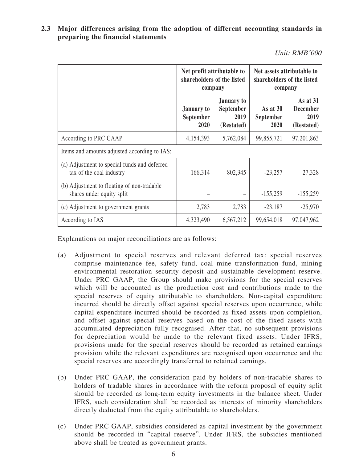**2.3 Major differences arising from the adoption of different accounting standards in preparing the financial statements**

Unit: RMB'000

|                                                                          | Net profit attributable to<br>shareholders of the listed<br>company |                                                             | Net assets attributable to<br>shareholders of the listed<br>company |                                                   |  |
|--------------------------------------------------------------------------|---------------------------------------------------------------------|-------------------------------------------------------------|---------------------------------------------------------------------|---------------------------------------------------|--|
|                                                                          | <b>January</b> to<br><b>September</b><br>2020                       | <b>January to</b><br><b>September</b><br>2019<br>(Restated) | As at 30<br>September<br>2020                                       | As at 31<br><b>December</b><br>2019<br>(Restated) |  |
| According to PRC GAAP                                                    | 4,154,393                                                           | 5,762,084                                                   | 99,855,721                                                          | 97,201,863                                        |  |
| Items and amounts adjusted according to IAS:                             |                                                                     |                                                             |                                                                     |                                                   |  |
| (a) Adjustment to special funds and deferred<br>tax of the coal industry | 166,314                                                             | 802,345                                                     | $-23,257$                                                           | 27,328                                            |  |
| (b) Adjustment to floating of non-tradable<br>shares under equity split  |                                                                     |                                                             | $-155,259$                                                          | $-155,259$                                        |  |
| (c) Adjustment to government grants                                      | 2,783                                                               | 2,783                                                       | $-23,187$                                                           | $-25,970$                                         |  |
| According to IAS                                                         | 4,323,490                                                           | 6,567,212                                                   | 99,654,018                                                          | 97,047,962                                        |  |

Explanations on major reconciliations are as follows:

- (a) Adjustment to special reserves and relevant deferred tax: special reserves comprise maintenance fee, safety fund, coal mine transformation fund, mining environmental restoration security deposit and sustainable development reserve. Under PRC GAAP, the Group should make provisions for the special reserves which will be accounted as the production cost and contributions made to the special reserves of equity attributable to shareholders. Non-capital expenditure incurred should be directly offset against special reserves upon occurrence, while capital expenditure incurred should be recorded as fixed assets upon completion, and offset against special reserves based on the cost of the fixed assets with accumulated depreciation fully recognised. After that, no subsequent provisions for depreciation would be made to the relevant fixed assets. Under IFRS, provisions made for the special reserves should be recorded as retained earnings provision while the relevant expenditures are recognised upon occurrence and the special reserves are accordingly transferred to retained earnings.
- (b) Under PRC GAAP, the consideration paid by holders of non-tradable shares to holders of tradable shares in accordance with the reform proposal of equity split should be recorded as long-term equity investments in the balance sheet. Under IFRS, such consideration shall be recorded as interests of minority shareholders directly deducted from the equity attributable to shareholders.
- (c) Under PRC GAAP, subsidies considered as capital investment by the government should be recorded in "capital reserve". Under IFRS, the subsidies mentioned above shall be treated as government grants.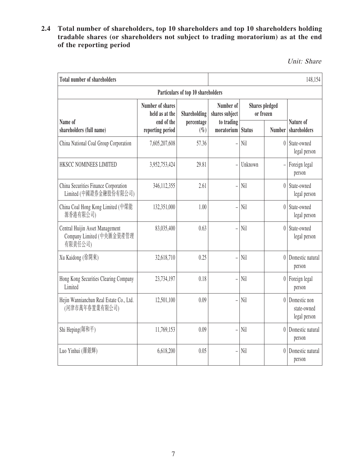### **2.4 Total number of shareholders, top 10 shareholders and top 10 shareholders holding tradable shares (or shareholders not subject to trading moratorium) as at the end of the reporting period**

Unit: Share

| <b>Total number of shareholders</b>                                     |                                    |                                    |                                   |                                    |                  | 148,154                                     |  |
|-------------------------------------------------------------------------|------------------------------------|------------------------------------|-----------------------------------|------------------------------------|------------------|---------------------------------------------|--|
|                                                                         |                                    | Particulars of top 10 shareholders |                                   |                                    |                  |                                             |  |
|                                                                         | Number of shares<br>held as at the | Shareholding                       | Number of<br>shares subject       | <b>Shares</b> pledged<br>or frozen |                  |                                             |  |
| Name of<br>shareholders (full name)                                     | end of the<br>reporting period     | percentage<br>$(\%)$               | to trading<br>moratorium   Status |                                    | Number           | Nature of<br>shareholders                   |  |
| China National Coal Group Corporation                                   | 7,605,207,608                      | 57.36                              | $\overline{a}$                    | Nil                                | $\theta$         | State-owned<br>legal person                 |  |
| HKSCC NOMINEES LIMITED                                                  | 3,952,753,424                      | 29.81                              | $\overline{a}$                    | Unknown                            |                  | Foreign legal<br>person                     |  |
| China Securities Finance Corporation<br>Limited (中國證券金融股份有限公司)          | 346,112,355                        | 2.61                               | $\overline{a}$                    | Nil                                | $\overline{0}$   | State-owned<br>legal person                 |  |
| China Coal Hong Kong Limited (中煤能<br>源香港有限公司)                           | 132,351,000                        | 1.00                               | $\overline{a}$                    | Nil                                | $\theta$         | State-owned<br>legal person                 |  |
| Central Huijin Asset Management<br>Company Limited (中央匯金資產管理<br>有限責任公司) | 83,035,400                         | 0.63                               | $\overline{a}$                    | Nil                                | $\left  \right $ | State-owned<br>legal person                 |  |
| Xu Kaidong (徐開東)                                                        | 32,618,710                         | 0.25                               |                                   | Nil                                | $\left  \right $ | Domestic natural<br>person                  |  |
| Hong Kong Securities Clearing Company<br>Limited                        | 23,734,197                         | 0.18                               | $\overline{a}$                    | Nil                                |                  | $0$ Foreign legal<br>person                 |  |
| Hejin Wannianchun Real Estate Co., Ltd.<br>(河津市萬年春置業有限公司)               | 12,501,100                         | 0.09                               | $\overline{a}$                    | Nil                                | $\overline{0}$   | Domestic non<br>state-owned<br>legal person |  |
| Shi Heping(師和平)                                                         | 11,769,153                         | 0.09                               | $\overline{a}$                    | Nil                                | $\left  \right $ | Domestic natural<br>person                  |  |
| Luo Yinhui (羅銀輝)                                                        | 6,618,200                          | 0.05                               | $\overline{a}$                    | Nil                                | $\overline{0}$   | Domestic natural<br>person                  |  |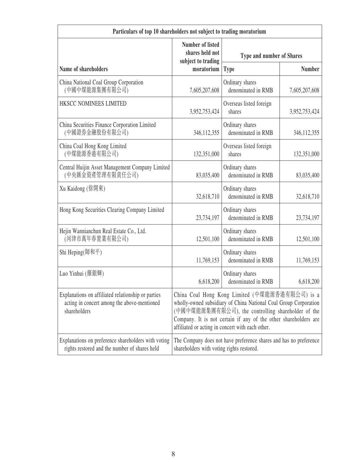| Particulars of top 10 shareholders not subject to trading moratorium                                              |                                                                                                                                                                                                                                                                                                 |                                                                   |               |  |  |
|-------------------------------------------------------------------------------------------------------------------|-------------------------------------------------------------------------------------------------------------------------------------------------------------------------------------------------------------------------------------------------------------------------------------------------|-------------------------------------------------------------------|---------------|--|--|
|                                                                                                                   | <b>Number of listed</b><br>shares held not<br>subject to trading                                                                                                                                                                                                                                | Type and number of Shares                                         |               |  |  |
| Name of shareholders                                                                                              | moratorium                                                                                                                                                                                                                                                                                      | <b>Type</b>                                                       | <b>Number</b> |  |  |
| China National Coal Group Corporation<br>(中國中煤能源集團有限公司)                                                           | 7,605,207,608                                                                                                                                                                                                                                                                                   | Ordinary shares<br>denominated in RMB                             | 7,605,207,608 |  |  |
| HKSCC NOMINEES LIMITED                                                                                            | 3,952,753,424                                                                                                                                                                                                                                                                                   | Overseas listed foreign<br>shares                                 | 3,952,753,424 |  |  |
| China Securities Finance Corporation Limited<br>(中國證券金融股份有限公司)                                                    | 346, 112, 355                                                                                                                                                                                                                                                                                   | Ordinary shares<br>denominated in RMB                             | 346, 112, 355 |  |  |
| China Coal Hong Kong Limited<br>(中煤能源香港有限公司)                                                                      | 132,351,000                                                                                                                                                                                                                                                                                     | Overseas listed foreign<br>shares                                 | 132,351,000   |  |  |
| Central Huijin Asset Management Company Limited<br>(中央匯金資產管理有限責任公司)                                               | 83,035,400                                                                                                                                                                                                                                                                                      | Ordinary shares<br>denominated in RMB                             | 83,035,400    |  |  |
| Xu Kaidong (徐開東)                                                                                                  | 32,618,710                                                                                                                                                                                                                                                                                      | Ordinary shares<br>denominated in RMB                             | 32,618,710    |  |  |
| Hong Kong Securities Clearing Company Limited                                                                     | 23,734,197                                                                                                                                                                                                                                                                                      | Ordinary shares<br>denominated in RMB                             | 23,734,197    |  |  |
| Hejin Wannianchun Real Estate Co., Ltd.<br>(河津市萬年春置業有限公司)                                                         | 12,501,100                                                                                                                                                                                                                                                                                      | Ordinary shares<br>denominated in RMB                             | 12,501,100    |  |  |
| Shi Heping(師和平)                                                                                                   | 11,769,153                                                                                                                                                                                                                                                                                      | Ordinary shares<br>denominated in RMB                             | 11,769,153    |  |  |
| Luo Yinhui (羅銀輝)                                                                                                  | 6,618,200                                                                                                                                                                                                                                                                                       | Ordinary shares<br>denominated in RMB                             | 6,618,200     |  |  |
| Explanations on affiliated relationship or parties<br>acting in concert among the above-mentioned<br>shareholders | China Coal Hong Kong Limited (中煤能源香港有限公司) is a<br>wholly-owned subsidiary of China National Coal Group Corporation<br>(中國中煤能源集團有限公司), the controlling shareholder of the<br>Company. It is not certain if any of the other shareholders are<br>affiliated or acting in concert with each other. |                                                                   |               |  |  |
| Explanations on preference shareholders with voting<br>rights restored and the number of shares held              | shareholders with voting rights restored.                                                                                                                                                                                                                                                       | The Company does not have preference shares and has no preference |               |  |  |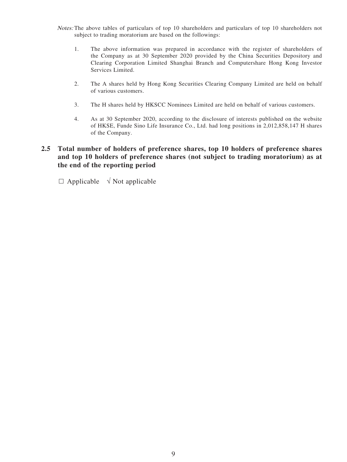- Notes: The above tables of particulars of top 10 shareholders and particulars of top 10 shareholders not subject to trading moratorium are based on the followings:
	- 1. The above information was prepared in accordance with the register of shareholders of the Company as at 30 September 2020 provided by the China Securities Depository and Clearing Corporation Limited Shanghai Branch and Computershare Hong Kong Investor Services Limited.
	- 2. The A shares held by Hong Kong Securities Clearing Company Limited are held on behalf of various customers.
	- 3. The H shares held by HKSCC Nominees Limited are held on behalf of various customers.
	- 4. As at 30 September 2020, according to the disclosure of interests published on the website of HKSE, Funde Sino Life Insurance Co., Ltd. had long positions in 2,012,858,147 H shares of the Company.

### **2.5 Total number of holders of preference shares, top 10 holders of preference shares and top 10 holders of preference shares (not subject to trading moratorium) as at the end of the reporting period**

 $\Box$  Applicable  $\sqrt{\ }$  Not applicable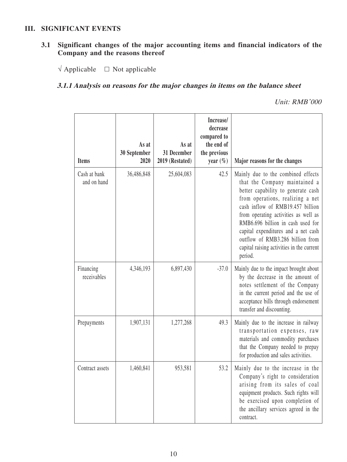#### **III. SIGNIFICANT EVENTS**

### **3.1 Significant changes of the major accounting items and financial indicators of the Company and the reasons thereof**

 $\sqrt{\text{Applicable}}$   $\Box$  Not applicable

### **3.1.1 Analysis on reasons for the major changes in items on the balance sheet**

| <b>Items</b>                | As at<br>30 September<br>2020 | As at<br>31 December<br>2019 (Restated) | Increase/<br>decrease<br>compared to<br>the end of<br>the previous<br>year $(\% )$ | Major reasons for the changes                                                                                                                                                                                                                                                                                                                                                                     |
|-----------------------------|-------------------------------|-----------------------------------------|------------------------------------------------------------------------------------|---------------------------------------------------------------------------------------------------------------------------------------------------------------------------------------------------------------------------------------------------------------------------------------------------------------------------------------------------------------------------------------------------|
| Cash at bank<br>and on hand | 36,486,848                    | 25,604,083                              | 42.5                                                                               | Mainly due to the combined effects<br>that the Company maintained a<br>better capability to generate cash<br>from operations, realizing a net<br>cash inflow of RMB19.457 billion<br>from operating activities as well as<br>RMB6.696 billion in cash used for<br>capital expenditures and a net cash<br>outflow of RMB3.286 billion from<br>capital raising activities in the current<br>period. |
| Financing<br>receivables    | 4,346,193                     | 6,897,430                               | $-37.0$                                                                            | Mainly due to the impact brought about<br>by the decrease in the amount of<br>notes settlement of the Company<br>in the current period and the use of<br>acceptance bills through endorsement<br>transfer and discounting.                                                                                                                                                                        |
| Prepayments                 | 1,907,131                     | 1,277,268                               | 49.3                                                                               | Mainly due to the increase in railway<br>transportation expenses, raw<br>materials and commodity purchases<br>that the Company needed to prepay<br>for production and sales activities.                                                                                                                                                                                                           |
| Contract assets             | 1,460,841                     | 953,581                                 | 53.2                                                                               | Mainly due to the increase in the<br>Company's right to consideration<br>arising from its sales of coal<br>equipment products. Such rights will<br>be exercised upon completion of<br>the ancillary services agreed in the<br>contract.                                                                                                                                                           |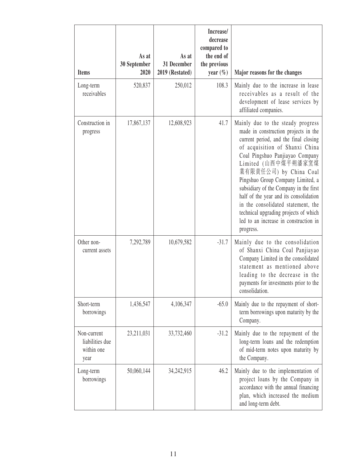| <b>Items</b>                                         | As at<br>30 September<br>2020 | As at<br>31 December<br>2019 (Restated) | Increase/<br>decrease<br>compared to<br>the end of<br>the previous<br>year $(\% )$ | Major reasons for the changes                                                                                                                                                                                                                                                                                                                                                                                                                                                                          |
|------------------------------------------------------|-------------------------------|-----------------------------------------|------------------------------------------------------------------------------------|--------------------------------------------------------------------------------------------------------------------------------------------------------------------------------------------------------------------------------------------------------------------------------------------------------------------------------------------------------------------------------------------------------------------------------------------------------------------------------------------------------|
| Long-term<br>receivables                             | 520,837                       | 250,012                                 | 108.3                                                                              | Mainly due to the increase in lease<br>receivables as a result of the<br>development of lease services by<br>affiliated companies.                                                                                                                                                                                                                                                                                                                                                                     |
| Construction in<br>progress                          | 17,867,137                    | 12,608,923                              | 41.7                                                                               | Mainly due to the steady progress<br>made in construction projects in the<br>current period, and the final closing<br>of acquisition of Shanxi China<br>Coal Pingshuo Panjiayao Company<br>Limited (山西中煤平朔潘家窯煤<br>業有限責任公司) by China Coal<br>Pingshuo Group Company Limited, a<br>subsidiary of the Company in the first<br>half of the year and its consolidation<br>in the consolidated statement, the<br>technical upgrading projects of which<br>led to an increase in construction in<br>progress. |
| Other non-<br>current assets                         | 7,292,789                     | 10,679,582                              | $-31.7$                                                                            | Mainly due to the consolidation<br>of Shanxi China Coal Panjiayao<br>Company Limited in the consolidated<br>statement as mentioned above<br>leading to the decrease in the<br>payments for investments prior to the<br>consolidation.                                                                                                                                                                                                                                                                  |
| Short-term<br>borrowings                             | 1,436,547                     | 4,106,347                               | $-65.0$                                                                            | Mainly due to the repayment of short-<br>term borrowings upon maturity by the<br>Company.                                                                                                                                                                                                                                                                                                                                                                                                              |
| Non-current<br>liabilities due<br>within one<br>year | 23,211,031                    | 33,732,460                              | $-31.2$                                                                            | Mainly due to the repayment of the<br>long-term loans and the redemption<br>of mid-term notes upon maturity by<br>the Company.                                                                                                                                                                                                                                                                                                                                                                         |
| Long-term<br>borrowings                              | 50,060,144                    | 34,242,915                              | 46.2                                                                               | Mainly due to the implementation of<br>project loans by the Company in<br>accordance with the annual financing<br>plan, which increased the medium<br>and long-term debt.                                                                                                                                                                                                                                                                                                                              |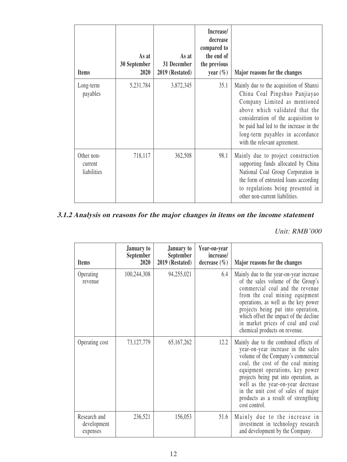| <b>Items</b>                         | As at<br>30 September<br>2020 | As at<br>31 December<br>2019 (Restated) | Increase/<br>decrease<br>compared to<br>the end of<br>the previous<br>year $(\% )$ | Major reasons for the changes                                                                                                                                                                                                                                                                   |
|--------------------------------------|-------------------------------|-----------------------------------------|------------------------------------------------------------------------------------|-------------------------------------------------------------------------------------------------------------------------------------------------------------------------------------------------------------------------------------------------------------------------------------------------|
| Long-term<br>payables                | 5,231,784                     | 3,872,345                               | 35.1                                                                               | Mainly due to the acquisition of Shanxi<br>China Coal Pingshuo Panjiayao<br>Company Limited as mentioned<br>above which validated that the<br>consideration of the acquisition to<br>be paid had led to the increase in the<br>long-term payables in accordance<br>with the relevant agreement. |
| Other non-<br>current<br>liabilities | 718,117                       | 362,508                                 | 98.1                                                                               | Mainly due to project construction<br>supporting funds allocated by China<br>National Coal Group Corporation in<br>the form of entrusted loans according<br>to regulations being presented in<br>other non-current liabilities.                                                                 |

# **3.1.2 Analysis on reasons for the major changes in items on the income statement**

| <b>Items</b>                            | January to<br><b>September</b><br>2020 | <b>January to</b><br>September<br>2019 (Restated) | Year-on-year<br>increase/<br>decrease $(\% )$ | Major reasons for the changes                                                                                                                                                                                                                                                                                                                                         |
|-----------------------------------------|----------------------------------------|---------------------------------------------------|-----------------------------------------------|-----------------------------------------------------------------------------------------------------------------------------------------------------------------------------------------------------------------------------------------------------------------------------------------------------------------------------------------------------------------------|
| Operating<br>revenue                    | 100,244,308                            | 94,255,021                                        | 6.4                                           | Mainly due to the year-on-year increase<br>of the sales volume of the Group's<br>commercial coal and the revenue<br>from the coal mining equipment<br>operations, as well as the key power<br>projects being put into operation,<br>which offset the impact of the decline<br>in market prices of coal and coal<br>chemical products on revenue.                      |
| Operating cost                          | 73,127,779                             | 65,167,262                                        | 12.2                                          | Mainly due to the combined effects of<br>year-on-year increase in the sales<br>volume of the Company's commercial<br>coal, the cost of the coal mining<br>equipment operations, key power<br>projects being put into operation, as<br>well as the year-on-year decrease<br>in the unit cost of sales of major<br>products as a result of strengthing<br>cost control. |
| Research and<br>development<br>expenses | 236,521                                | 156,053                                           | 51.6                                          | Mainly due to the increase in<br>investment in technology research<br>and development by the Company.                                                                                                                                                                                                                                                                 |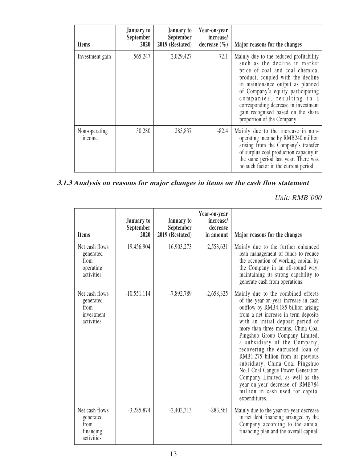| <b>Items</b>            | January to<br>September<br>2020 | January to<br>September<br>2019 (Restated) | Year-on-year<br>increase/<br>decrease $(\% )$ | Major reasons for the changes                                                                                                                                                                                                                                                                                                                                      |
|-------------------------|---------------------------------|--------------------------------------------|-----------------------------------------------|--------------------------------------------------------------------------------------------------------------------------------------------------------------------------------------------------------------------------------------------------------------------------------------------------------------------------------------------------------------------|
| Investment gain         | 565,247                         | 2,029,427                                  | $-72.1$                                       | Mainly due to the reduced profitability<br>such as the decline in market<br>price of coal and coal chemical<br>product, coupled with the decline<br>in maintenance output as planned<br>of Company's equity participating<br>companies, resulting in a<br>corresponding decrease in investment<br>gain recognised based on the share<br>proportion of the Company. |
| Non-operating<br>income | 50,280                          | 285,837                                    | $-82.4$                                       | Mainly due to the increase in non-<br>operating income by RMB240 million<br>arising from the Company's transfer<br>of surplus coal production capacity in<br>the same period last year. There was<br>no such factor in the current period.                                                                                                                         |

## **3.1.3 Analysis on reasons for major changes in items on the cash flow statement**

| <b>Items</b>                                                    | January to<br>September<br>2020 | <b>January to</b><br>September<br>2019 (Restated) | Year-on-year<br>increase/<br>decrease<br>in amount | Major reasons for the changes                                                                                                                                                                                                                                                                                                                                                                                                                                                                                                                                                        |
|-----------------------------------------------------------------|---------------------------------|---------------------------------------------------|----------------------------------------------------|--------------------------------------------------------------------------------------------------------------------------------------------------------------------------------------------------------------------------------------------------------------------------------------------------------------------------------------------------------------------------------------------------------------------------------------------------------------------------------------------------------------------------------------------------------------------------------------|
| Net cash flows<br>generated<br>from<br>operating<br>activities  | 19,456,904                      | 16,903,273                                        | 2,553,631                                          | Mainly due to the further enhanced<br>lean management of funds to reduce<br>the occupation of working capital by<br>the Company in an all-round way,<br>maintaining its strong capability to<br>generate cash from operations.                                                                                                                                                                                                                                                                                                                                                       |
| Net cash flows<br>generated<br>from<br>investment<br>activities | $-10,551,114$                   | $-7,892,789$                                      | $-2,658,325$                                       | Mainly due to the combined effects<br>of the year-on-year increase in cash<br>outflow by RMB4.185 billion arising<br>from a net increase in term deposits<br>with an initial deposit period of<br>more than three months, China Coal<br>Pingshuo Group Company Limited,<br>a subsidiary of the Company,<br>recovering the entrusted loan of<br>RMB1.275 billion from its previous<br>subsidiary, China Coal Pingshuo<br>No.1 Coal Gangue Power Generation<br>Company Limited, as well as the<br>year-on-year decrease of RMB784<br>million in cash used for capital<br>expenditures. |
| Net cash flows<br>generated<br>from<br>financing<br>activities  | $-3,285,874$                    | $-2,402,313$                                      | $-883,561$                                         | Mainly due to the year-on-year decrease<br>in net debt financing arranged by the<br>Company according to the annual<br>financing plan and the overall capital.                                                                                                                                                                                                                                                                                                                                                                                                                       |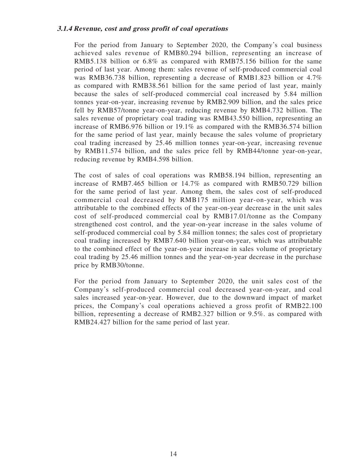#### **3.1.4 Revenue, cost and gross profit of coal operations**

For the period from January to September 2020, the Company's coal business achieved sales revenue of RMB80.294 billion, representing an increase of RMB5.138 billion or 6.8% as compared with RMB75.156 billion for the same period of last year. Among them: sales revenue of self-produced commercial coal was RMB36.738 billion, representing a decrease of RMB1.823 billion or 4.7% as compared with RMB38.561 billion for the same period of last year, mainly because the sales of self-produced commercial coal increased by 5.84 million tonnes year-on-year, increasing revenue by RMB2.909 billion, and the sales price fell by RMB57/tonne year-on-year, reducing revenue by RMB4.732 billion. The sales revenue of proprietary coal trading was RMB43.550 billion, representing an increase of RMB6.976 billion or 19.1% as compared with the RMB36.574 billion for the same period of last year, mainly because the sales volume of proprietary coal trading increased by 25.46 million tonnes year-on-year, increasing revenue by RMB11.574 billion, and the sales price fell by RMB44/tonne year-on-year, reducing revenue by RMB4.598 billion.

The cost of sales of coal operations was RMB58.194 billion, representing an increase of RMB7.465 billion or 14.7% as compared with RMB50.729 billion for the same period of last year. Among them, the sales cost of self-produced commercial coal decreased by RMB175 million year-on-year, which was attributable to the combined effects of the year-on-year decrease in the unit sales cost of self-produced commercial coal by RMB17.01/tonne as the Company strengthened cost control, and the year-on-year increase in the sales volume of self-produced commercial coal by 5.84 million tonnes; the sales cost of proprietary coal trading increased by RMB7.640 billion year-on-year, which was attributable to the combined effect of the year-on-year increase in sales volume of proprietary coal trading by 25.46 million tonnes and the year-on-year decrease in the purchase price by RMB30/tonne.

For the period from January to September 2020, the unit sales cost of the Company's self-produced commercial coal decreased year-on-year, and coal sales increased year-on-year. However, due to the downward impact of market prices, the Company's coal operations achieved a gross profit of RMB22.100 billion, representing a decrease of RMB2.327 billion or 9.5%. as compared with RMB24.427 billion for the same period of last year.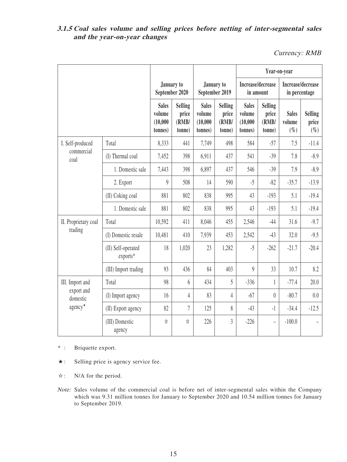### **3.1.5 Coal sales volume and selling prices before netting of inter-segmental sales and the year-on-year changes**

Currency: RMB

|                                                               |                                | January to<br>September 2020                  |                                            |                                               |                                            | Year-on-year                                  |                                            |                                    |                                    |
|---------------------------------------------------------------|--------------------------------|-----------------------------------------------|--------------------------------------------|-----------------------------------------------|--------------------------------------------|-----------------------------------------------|--------------------------------------------|------------------------------------|------------------------------------|
|                                                               |                                |                                               |                                            | January to<br>September 2019                  |                                            | Increase/decrease<br>in amount                |                                            | Increase/decrease<br>in percentage |                                    |
|                                                               |                                | <b>Sales</b><br>volume<br>(10,000)<br>tonnes) | <b>Selling</b><br>price<br>(RMB/<br>tonne) | <b>Sales</b><br>volume<br>(10,000)<br>tonnes) | <b>Selling</b><br>price<br>(RMB/<br>tonne) | <b>Sales</b><br>volume<br>(10,000)<br>tonnes) | <b>Selling</b><br>price<br>(RMB/<br>tonne) | <b>Sales</b><br>volume<br>$(\% )$  | <b>Selling</b><br>price<br>$(\% )$ |
| I. Self-produced                                              | Total                          | 8,333                                         | 441                                        | 7,749                                         | 498                                        | 584                                           | $-57$                                      | 7.5                                | $-11.4$                            |
| commercial<br>coal                                            | (I) Thermal coal               | 7,452                                         | 398                                        | 6,911                                         | 437                                        | 541                                           | $-39$                                      | 7.8                                | $-8.9$                             |
|                                                               | 1. Domestic sale               | 7,443                                         | 398                                        | 6,897                                         | 437                                        | 546                                           | $-39$                                      | 7.9                                | $-8.9$                             |
|                                                               | 2. Export                      | $\overline{9}$                                | 508                                        | 14                                            | 590                                        | $-5$                                          | $-82$                                      | $-35.7$                            | $-13.9$                            |
|                                                               | (II) Coking coal               | 881                                           | 802                                        | 838                                           | 995                                        | 43                                            | $-193$                                     | 5.1                                | $-19.4$                            |
|                                                               | 1. Domestic sale               | 881                                           | 802                                        | 838                                           | 995                                        | 43                                            | $-193$                                     | 5.1                                | $-19.4$                            |
| II. Proprietary coal                                          | Total                          | 10,592                                        | 411                                        | 8,046                                         | 455                                        | 2,546                                         | $-44$                                      | 31.6                               | $-9.7$                             |
| trading                                                       | (I) Domestic resale            | 10,481                                        | 410                                        | 7,939                                         | 453                                        | 2,542                                         | $-43$                                      | 32.0                               | $-9.5$                             |
|                                                               | (II) Self-operated<br>exports* | 18                                            | 1,020                                      | 23                                            | 1,282                                      | $-5$                                          | $-262$                                     | $-21.7$                            | $-20.4$                            |
|                                                               | (III) Import trading           | 93                                            | 436                                        | 84                                            | 403                                        | $\boldsymbol{9}$                              | 33                                         | 10.7                               | 8.2                                |
| III. Import and<br>export and<br>domestic<br>$agency^{\star}$ | Total                          | 98                                            | 6                                          | 434                                           | 5                                          | $-336$                                        | $\mathbf{1}$                               | $-77.4$                            | 20.0                               |
|                                                               | (I) Import agency              | 16                                            | $\overline{4}$                             | 83                                            | 4                                          | $-67$                                         | $\theta$                                   | $-80.7$                            | 0.0                                |
|                                                               | (II) Export agency             | 82                                            | 7                                          | 125                                           | 8                                          | $-43$                                         | $-1$                                       | $-34.4$                            | $-12.5$                            |
|                                                               | (III) Domestic<br>agency       | ☆                                             | ☆                                          | 226                                           | $\overline{3}$                             | $-226$                                        | $\overline{a}$                             | $-100.0$                           |                                    |

\* : Briquette export.

- ★: Selling price is agency service fee.
- ☆: N/A for the period.
- Note: Sales volume of the commercial coal is before net of inter-segmental sales within the Company which was 9.31 million tonnes for January to September 2020 and 10.54 million tonnes for January to September 2019.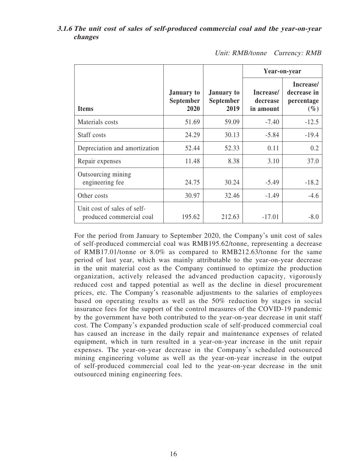### **3.1.6 The unit cost of sales of self-produced commercial coal and the year-on-year changes**

|                                                         |                                        |                                               | Year-on-year                       |                                                  |
|---------------------------------------------------------|----------------------------------------|-----------------------------------------------|------------------------------------|--------------------------------------------------|
| <b>Items</b>                                            | <b>January</b> to<br>September<br>2020 | <b>January to</b><br><b>September</b><br>2019 | Increase/<br>decrease<br>in amount | Increase/<br>decrease in<br>percentage<br>$(\%)$ |
| Materials costs                                         | 51.69                                  | 59.09                                         | $-7.40$                            | $-12.5$                                          |
| Staff costs                                             | 24.29                                  | 30.13                                         | $-5.84$                            | $-19.4$                                          |
| Depreciation and amortization                           | 52.44                                  | 52.33                                         | 0.11                               | 0.2                                              |
| Repair expenses                                         | 11.48                                  | 8.38                                          | 3.10                               | 37.0                                             |
| Outsourcing mining<br>engineering fee                   | 24.75                                  | 30.24                                         | $-5.49$                            | $-18.2$                                          |
| Other costs                                             | 30.97                                  | 32.46                                         | $-1.49$                            | $-4.6$                                           |
| Unit cost of sales of self-<br>produced commercial coal | 195.62                                 | 212.63                                        | $-17.01$                           | $-8.0$                                           |

Unit: RMB/tonne Currency: RMB

For the period from January to September 2020, the Company's unit cost of sales of self-produced commercial coal was RMB195.62/tonne, representing a decrease of RMB17.01/tonne or 8.0% as compared to RMB212.63/tonne for the same period of last year, which was mainly attributable to the year-on-year decrease in the unit material cost as the Company continued to optimize the production organization, actively released the advanced production capacity, vigorously reduced cost and tapped potential as well as the decline in diesel procurement prices, etc. The Company's reasonable adjustments to the salaries of employees based on operating results as well as the 50% reduction by stages in social insurance fees for the support of the control measures of the COVID-19 pandemic by the government have both contributed to the year-on-year decrease in unit staff cost. The Company's expanded production scale of self-produced commercial coal has caused an increase in the daily repair and maintenance expenses of related equipment, which in turn resulted in a year-on-year increase in the unit repair expenses. The year-on-year decrease in the Company's scheduled outsourced mining engineering volume as well as the year-on-year increase in the output of self-produced commercial coal led to the year-on-year decrease in the unit outsourced mining engineering fees.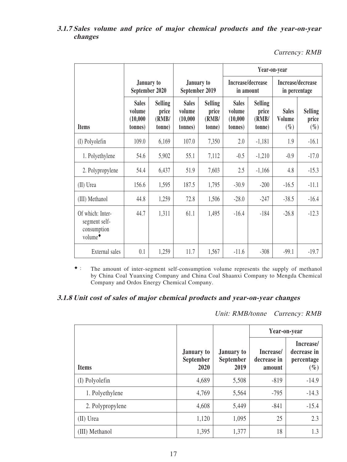### **3.1.7 Sales volume and price of major chemical products and the year-on-year changes**

Currency: RMB

|                                                                         |                                                |                                            |                                                |                                            | Year-on-year                                   |                                            |                                    |                                    |  |
|-------------------------------------------------------------------------|------------------------------------------------|--------------------------------------------|------------------------------------------------|--------------------------------------------|------------------------------------------------|--------------------------------------------|------------------------------------|------------------------------------|--|
|                                                                         | January to<br>September 2020                   |                                            | January to<br>September 2019                   |                                            | Increase/decrease<br>in amount                 |                                            | Increase/decrease<br>in percentage |                                    |  |
| <b>Items</b>                                                            | <b>Sales</b><br>volume<br>(10,000)<br>(tonnes) | <b>Selling</b><br>price<br>(RMB/<br>tonne) | <b>Sales</b><br>volume<br>(10,000)<br>(tonnes) | <b>Selling</b><br>price<br>(RMB/<br>tonne) | <b>Sales</b><br>volume<br>(10,000)<br>(tonnes) | <b>Selling</b><br>price<br>(RMB/<br>(tonne | <b>Sales</b><br>Volume<br>$(\%)$   | <b>Selling</b><br>price<br>$(\% )$ |  |
| (I) Polyolefin                                                          | 109.0                                          | 6,169                                      | 107.0                                          | 7,350                                      | 2.0                                            | $-1,181$                                   | 1.9                                | $-16.1$                            |  |
| 1. Polyethylene                                                         | 54.6                                           | 5,902                                      | 55.1                                           | 7,112                                      | $-0.5$                                         | $-1,210$                                   | $-0.9$                             | $-17.0$                            |  |
| 2. Polypropylene                                                        | 54.4                                           | 6,437                                      | 51.9                                           | 7,603                                      | 2.5                                            | $-1,166$                                   | 4.8                                | $-15.3$                            |  |
| (II) Urea                                                               | 156.6                                          | 1,595                                      | 187.5                                          | 1,795                                      | $-30.9$                                        | $-200$                                     | $-16.5$                            | $-11.1$                            |  |
| (III) Methanol                                                          | 44.8                                           | 1,259                                      | 72.8                                           | 1,506                                      | $-28.0$                                        | $-247$                                     | $-38.5$                            | $-16.4$                            |  |
| Of which: Inter-<br>segment self-<br>consumption<br>volume <sup>+</sup> | 44.7                                           | 1,311                                      | 61.1                                           | 1,495                                      | $-16.4$                                        | $-184$                                     | $-26.8$                            | $-12.3$                            |  |
| External sales                                                          | 0.1                                            | 1,259                                      | 11.7                                           | 1,567                                      | $-11.6$                                        | $-308$                                     | $-99.1$                            | $-19.7$                            |  |

◆: The amount of inter-segment self-consumption volume represents the supply of methanol by China Coal Yuanxing Company and China Coal Shaanxi Company to Mengda Chemical Company and Ordos Energy Chemical Company.

#### **3.1.8 Unit cost of sales of major chemical products and year-on-year changes**

Unit: RMB/tonne Currency: RMB

|                  |                                               |                                        | Year-on-year                       |                                                  |  |
|------------------|-----------------------------------------------|----------------------------------------|------------------------------------|--------------------------------------------------|--|
| <b>Items</b>     | <b>January to</b><br><b>September</b><br>2020 | <b>January to</b><br>September<br>2019 | Increase/<br>decrease in<br>amount | Increase/<br>decrease in<br>percentage<br>$(\%)$ |  |
| (I) Polyolefin   | 4,689                                         | 5,508                                  | $-819$                             | $-14.9$                                          |  |
| 1. Polyethylene  | 4,769                                         | 5,564                                  | $-795$                             | $-14.3$                                          |  |
| 2. Polypropylene | 4,608                                         | 5,449                                  | $-841$                             | $-15.4$                                          |  |
| (II) Urea        | 1,120                                         | 1,095                                  | 25                                 | 2.3                                              |  |
| (III) Methanol   | 1,395                                         | 1,377                                  | 18                                 | 1.3                                              |  |